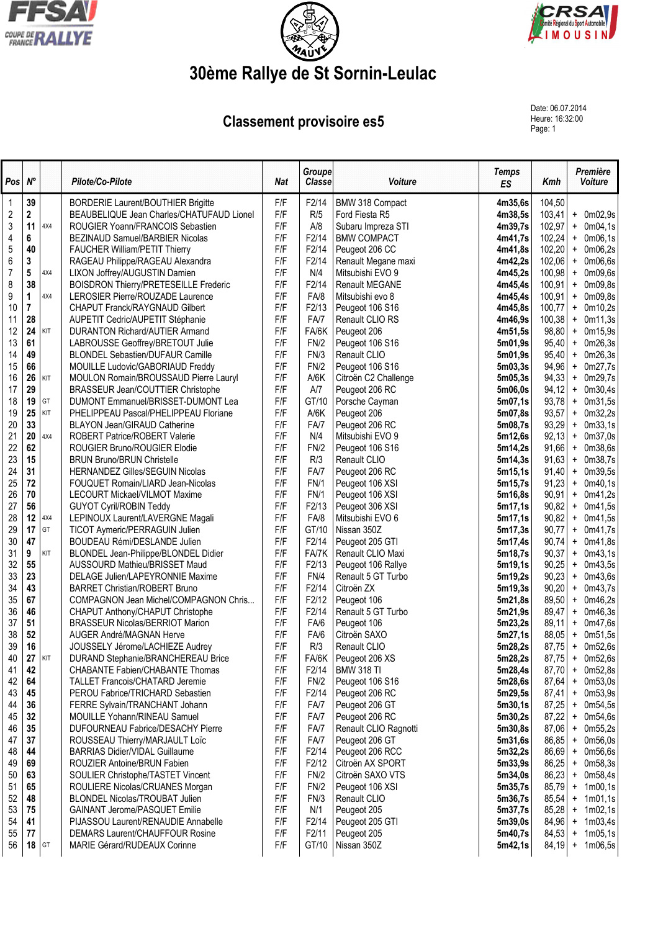





## 30ème Rallye de St Sornin-Leulac

## **Classement provisoire es5**

Date: 06.07.2014 Heure: 16:32:00<br>Page: 1

| Pos              | $N^{\circ}$    |            | Pilote/Co-Pilote                                                                 | <b>Nat</b> | <b>Groupe</b><br><b>Classe</b> | Voiture                             | <b>Temps</b><br>ES | Kmh              | Première<br>Voiture                          |
|------------------|----------------|------------|----------------------------------------------------------------------------------|------------|--------------------------------|-------------------------------------|--------------------|------------------|----------------------------------------------|
| $\mathbf 1$      | 39             |            | <b>BORDERIE Laurent/BOUTHIER Brigitte</b>                                        | F/F        | F2/14                          | BMW 318 Compact                     | 4m35,6s            | 104,50           |                                              |
| $\overline{2}$   | $\mathbf 2$    |            | BEAUBELIQUE Jean Charles/CHATUFAUD Lionel                                        | F/F        | R/5                            | Ford Fiesta R5                      | 4m38,5s            | 103,41           | $+$ 0m02,9s                                  |
| $\sqrt{3}$       | 11             | 4X4        | ROUGIER Yoann/FRANCOIS Sebastien                                                 | F/F        | A/8                            | Subaru Impreza STI                  | 4m39,7s            | 102,97           | 0m04,1s<br>$+$                               |
| 4                | 6              |            | BEZINAUD Samuel/BARBIER Nicolas                                                  | F/F        | F2/14                          | <b>BMW COMPACT</b>                  | 4m41,7s            | 102,24           | 0m06,1s<br>$\ddag$                           |
| 5                | 40             |            | <b>FAUCHER William/PETIT Thierry</b>                                             | F/F        | F2/14                          | Peugeot 206 CC                      | 4m41,8s            | 102,20           | $\ddag$<br>0m06,2s                           |
| 6                | $\mathbf 3$    |            | RAGEAU Philippe/RAGEAU Alexandra                                                 | F/F        | F2/14                          | Renault Megane maxi                 | 4m42,2s            | 102,06           | 0m06,6s<br>$\ddag$                           |
| $\boldsymbol{7}$ | 5<br>38        | 4X4        | LIXON Joffrey/AUGUSTIN Damien                                                    | F/F<br>F/F | N/4<br>F2/14                   | Mitsubishi EVO 9<br>Renault MEGANE  | 4m45,2s            | 100,98           | 0m09,6s<br>$\ddag$                           |
| 8<br>9           | 1              | 4X4        | <b>BOISDRON Thierry/PRETESEILLE Frederic</b><br>LEROSIER Pierre/ROUZADE Laurence | F/F        | FA/8                           | Mitsubishi evo 8                    | 4m45,4s<br>4m45,4s | 100,91<br>100,91 | 0m09,8s<br>$\ddot{}$<br>0m09,8s<br>$\ddot{}$ |
| 10               | $\overline{7}$ |            | CHAPUT Franck/RAYGNAUD Gilbert                                                   | F/F        | F2/13                          | Peugeot 106 S16                     | 4m45,8s            | 100,77           | $\ddot{}$<br>0m10,2s                         |
| 11               | 28             |            | AUPETIT Cedric/AUPETIT Stéphanie                                                 | F/F        | FA/7                           | Renault CLIO RS                     | 4m46,9s            | 100,38           | 0m11,3s<br>$\pmb{+}$                         |
| 12               | 24             | KIT        | <b>DURANTON Richard/AUTIER Armand</b>                                            | F/F        | FA/6K                          | Peugeot 206                         | 4m51,5s            | 98,80            | 0m15,9s<br>$\ddag$                           |
| 13               | 61             |            | LABROUSSE Geoffrey/BRETOUT Julie                                                 | F/F        | FN/2                           | Peugeot 106 S16                     | 5m01,9s            | 95,40            | 0m26,3s<br>$\ddot{}$                         |
| 14               | 49             |            | <b>BLONDEL Sebastien/DUFAUR Camille</b>                                          | F/F        | FN/3                           | Renault CLIO                        | 5m01,9s            | 95,40            | 0m26,3s<br>$\ddag$                           |
| 15               | 66             |            | MOUILLE Ludovic/GABORIAUD Freddy                                                 | F/F        | FN/2                           | Peugeot 106 S16                     | 5m03,3s            | 94,96            | $\ddot{}$<br>0m27,7s                         |
| 16               | 26             | KIT        | MOULON Romain/BROUSSAUD Pierre Lauryl                                            | F/F        | A/6K                           | Citroën C2 Challenge                | 5m05,3s            | 94,33            | 0m29,7s<br>$\ddag$                           |
| 17               | 29             |            | BRASSEUR Jean/COUTTIER Christophe                                                | F/F        | A/7                            | Peugeot 206 RC                      | 5m06,0s            | 94,12            | 0m30,4s<br>$\pmb{+}$                         |
| 18               | 19             | GT         | DUMONT Emmanuel/BRISSET-DUMONT Lea                                               | F/F        | GT/10                          | Porsche Cayman                      | 5m07,1s            | 93,78            | 0m31,5s<br>$\pmb{+}$                         |
| 19               | 25             | KIT        | PHELIPPEAU Pascal/PHELIPPEAU Floriane                                            | F/F        | A/6K                           | Peugeot 206                         | 5m07,8s            | 93,57            | 0m32,2s<br>$\begin{array}{c} + \end{array}$  |
| 20               | 33             |            | <b>BLAYON Jean/GIRAUD Catherine</b>                                              | F/F        | FA/7                           | Peugeot 206 RC                      | 5m08,7s            | 93,29            | 0m33,1s<br>$\ddag$                           |
| 21               | 20             | 4X4        | <b>ROBERT Patrice/ROBERT Valerie</b>                                             | F/F        | N/4                            | Mitsubishi EVO 9                    | 5m12,6s            | 92,13            | 0m37,0s<br>$+$                               |
| 22<br>23         | 62<br>15       |            | ROUGIER Bruno/ROUGIER Elodie                                                     | F/F<br>F/F | FN/2                           | Peugeot 106 S16                     | 5m14,2s            | 91,66<br>91,63   | 0m38,6s<br>$\ddag$                           |
| 24               | 31             |            | <b>BRUN Bruno/BRUN Christelle</b><br>HERNANDEZ Gilles/SEGUIN Nicolas             | F/F        | R/3<br>FA/7                    | Renault CLIO<br>Peugeot 206 RC      | 5m14,3s<br>5m15,1s | 91,40            | 0m38,7s<br>$\ddot{}$<br>0m39,5s<br>$\ddag$   |
| 25               | 72             |            | FOUQUET Romain/LIARD Jean-Nicolas                                                | F/F        | FN/1                           | Peugeot 106 XSI                     | 5m15.7s            | 91,23            | 0m40,1s<br>$\ddag$                           |
| 26               | 70             |            | LECOURT Mickael/VILMOT Maxime                                                    | F/F        | FN/1                           | Peugeot 106 XSI                     | 5m16,8s            | 90,91            | 0m41,2s<br>$\ddot{}$                         |
| 27               | 56             |            | <b>GUYOT Cyril/ROBIN Teddy</b>                                                   | F/F        | F2/13                          | Peugeot 306 XSI                     | 5m17,1s            | 90,82            | 0m41,5s<br>$\ddag$                           |
| 28               | 12             | 4X4        | LEPINOUX Laurent/LAVERGNE Magali                                                 | F/F        | FA/8                           | Mitsubishi EVO 6                    | 5m17,1s            | 90,82            | 0m41,5s<br>$\ddag$                           |
| 29               | 17             | GT         | TICOT Aymeric/PERRAGUIN Julien                                                   | F/F        | GT/10                          | Nissan 350Z                         | 5m17,3s            | 90,77            | $+$<br>0m41,7s                               |
| 30               | 47             |            | BOUDEAU Rémi/DESLANDE Julien                                                     | F/F        | F2/14                          | Peugeot 205 GTI                     | 5m17,4s            | 90,74            | 0m41,8s<br>$\begin{array}{c} + \end{array}$  |
| 31               | 9              | KIT        | BLONDEL Jean-Philippe/BLONDEL Didier                                             | F/F        | FA/7K                          | Renault CLIO Maxi                   | 5m18,7s            | 90,37            | 0m43,1s<br>$\pmb{+}$                         |
| 32               | 55             |            | AUSSOURD Mathieu/BRISSET Maud                                                    | F/F        | F2/13                          | Peugeot 106 Rallye                  | 5m19,1s            | 90,25            | 0m43,5s<br>$\ddag$                           |
| 33               | 23             |            | DELAGE Julien/LAPEYRONNIE Maxime                                                 | F/F        | FN/4                           | Renault 5 GT Turbo                  | 5m19,2s            | 90,23            | 0m43,6s<br>$\ddag$                           |
| 34               | 43             |            | <b>BARRET Christian/ROBERT Bruno</b>                                             | F/F        | F2/14                          | Citroën ZX                          | 5m19,3s            | 90,20            | 0m43,7s<br>$\pmb{+}$                         |
| 35               | 67             |            | COMPAGNON Jean Michel/COMPAGNON Chris                                            | F/F        | F2/12                          | Peugeot 106                         | 5m21,8s            | 89,50            | 0m46,2s<br>$\ddag$                           |
| 36<br>37         | 46<br>51       |            | CHAPUT Anthony/CHAPUT Christophe<br>BRASSEUR Nicolas/BERRIOT Marion              | F/F<br>F/F | F2/14<br>FA/6                  | Renault 5 GT Turbo                  | 5m21,9s            | 89,47<br>89,11   | 0m46,3s<br>$\pmb{+}$<br>$\ddot{}$<br>0m47,6s |
| 38               | 52             |            | AUGER André/MAGNAN Herve                                                         | F/F        | FA/6                           | Peugeot 106<br>Citroën SAXO         | 5m23,2s<br>5m27,1s | 88,05            | $+$ 0m51,5s                                  |
| 39               | 16             |            | JOUSSELY Jérome/LACHIEZE Audrey                                                  | F/F        | R/3                            | Renault CLIO                        | 5m28,2s            | 87,75            | + 0m52,6s                                    |
| 40               | 27             | <b>KIT</b> | DURAND Stephanie/BRANCHEREAU Brice                                               | F/F        |                                | FA/6K   Peugeot 206 XS              | 5m28,2s            | 87,75            | $+$ 0m52,6s                                  |
| 41               | 42             |            | CHABANTE Fabien/CHABANTE Thomas                                                  | F/F        | F2/14                          | <b>BMW 318 TI</b>                   | 5m28,4s            | 87,70            | $+$ 0m52,8s                                  |
| 42               | 64             |            | TALLET Francois/CHATARD Jeremie                                                  | F/F        | FN/2                           | Peugeot 106 S16                     | 5m28,6s            | 87,64            | 0m53,0s<br>$\ddag$                           |
| 43               | 45             |            | PEROU Fabrice/TRICHARD Sebastien                                                 | F/F        | F2/14                          | Peugeot 206 RC                      | 5m29,5s            | 87,41            | $+$ 0m53,9s                                  |
| 44               | 36             |            | FERRE Sylvain/TRANCHANT Johann                                                   | F/F        | FA/7                           | Peugeot 206 GT                      | 5m30,1s            | 87,25            | 0m54,5s<br>$\pm$                             |
| 45               | 32             |            | MOUILLE Yohann/RINEAU Samuel                                                     | F/F        | FA/7                           | Peugeot 206 RC                      | 5m30,2s            | 87,22            | 0m54,6s<br>$\ddag$                           |
| 46               | 35             |            | DUFOURNEAU Fabrice/DESACHY Pierre                                                | F/F        | FA/7                           | Renault CLIO Ragnotti               | 5m30.8s            | 87,06            | 0m55,2s<br>$\ddag$                           |
| 47               | 37             |            | ROUSSEAU Thierry/MARJAULT Loïc                                                   | F/F        | FA/7                           | Peugeot 206 GT                      | 5m31,6s            | 86,85            | 0m56,0s<br>$+$                               |
| 48               | 44             |            | <b>BARRIAS Didier/VIDAL Guillaume</b>                                            | F/F        | F2/14                          | Peugeot 206 RCC                     | 5m32,2s            | 86,69            | $\ddot{}$<br>0m56,6s                         |
| 49               | 69             |            | ROUZIER Antoine/BRUN Fabien                                                      | F/F        | F2/12                          | Citroën AX SPORT                    | 5m33,9s            | 86,25            | $+$ 0m58,3s                                  |
| 50<br>51         | 63<br>65       |            | SOULIER Christophe/TASTET Vincent<br>ROULIERE Nicolas/CRUANES Morgan             | F/F<br>F/F | FN/2<br>FN/2                   | Citroën SAXO VTS<br>Peugeot 106 XSI | 5m34,0s<br>5m35,7s | 86,23<br>85,79   | $+$ 0m58,4s<br>$+ 1 \text{m00,1s}$           |
| 52               | 48             |            | BLONDEL Nicolas/TROUBAT Julien                                                   | F/F        | FN/3                           | Renault CLIO                        | 5m36,7s            | 85,54            | 1m01,1s<br>$\ddag$                           |
| 53               | 75             |            | <b>GAINANT Jerome/PASQUET Emilie</b>                                             | F/F        | N/1                            | Peugeot 205                         | 5m37,7s            | 85,28            | 1m02,1s<br>$\ddag$                           |
| 54               | 41             |            | PIJASSOU Laurent/RENAUDIE Annabelle                                              | F/F        | F2/14                          | Peugeot 205 GTI                     | 5m39,0s            | 84,96            | $\ddot{}$<br>1m03,4s                         |
| 55               | 77             |            | DEMARS Laurent/CHAUFFOUR Rosine                                                  | F/F        | F2/11                          | Peugeot 205                         | 5m40,7s            | 84,53            | 1m05,1s<br>$\ddot{}$                         |
| 56               | 18             | GT         | MARIE Gérard/RUDEAUX Corinne                                                     | F/F        | GT/10                          | Nissan 350Z                         | 5m42,1s            | 84,19            | $\ddot{}$<br>1m06,5s                         |
|                  |                |            |                                                                                  |            |                                |                                     |                    |                  |                                              |